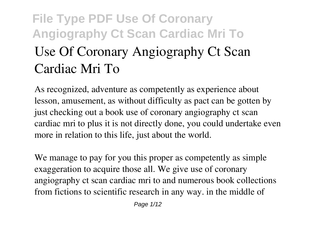# **File Type PDF Use Of Coronary Angiography Ct Scan Cardiac Mri To Use Of Coronary Angiography Ct Scan Cardiac Mri To**

As recognized, adventure as competently as experience about lesson, amusement, as without difficulty as pact can be gotten by just checking out a book **use of coronary angiography ct scan cardiac mri to** plus it is not directly done, you could undertake even more in relation to this life, just about the world.

We manage to pay for you this proper as competently as simple exaggeration to acquire those all. We give use of coronary angiography ct scan cardiac mri to and numerous book collections from fictions to scientific research in any way. in the middle of

Page  $1/12$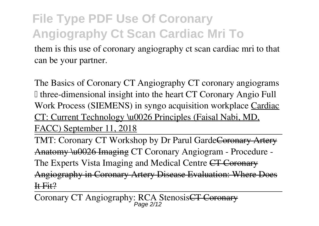them is this use of coronary angiography ct scan cardiac mri to that can be your partner.

The Basics of Coronary CT Angiography *CT coronary angiograms – three-dimensional insight into the heart CT Coronary Angio Full Work Process (SIEMENS) in syngo acquisition workplace* Cardiac CT: Current Technology \u0026 Principles (Faisal Nabi, MD, FACC) September 11, 2018

TMT: Coronary CT Workshop by Dr Parul GardeCoronary Artery Anatomy \u0026 Imaging CT Coronary Angiogram - Procedure - The Experts Vista Imaging and Medical Centre CT Coronary Angiography in Coronary Artery Disease Evaluation: Where Does  $H$  Fit?

Coronary CT Angiography: RCA StenosisCT Coronary Page 2/12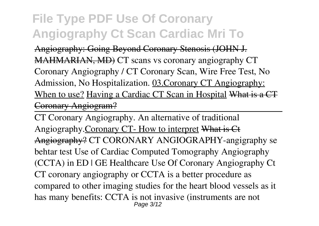Angiography: Going Beyond Coronary Stenosis (JOHN J. MAHMARIAN, MD) *CT scans vs coronary angiography* **CT Coronary Angiography / CT Coronary Scan, Wire Free Test, No Admission, No Hospitalization.** 03.Coronary CT Angiography: When to use? Having a Cardiac CT Scan in Hospital What is a CT Coronary Angiogram?

CT Coronary Angiography. An alternative of traditional Angiography.Coronary CT- How to interpret What is Ct Angiography? *CT CORONARY ANGIOGRAPHY-angigraphy se behtar test Use of Cardiac Computed Tomography Angiography (CCTA) in ED | GE Healthcare Use Of Coronary Angiography Ct* CT coronary angiography or CCTA is a better procedure as compared to other imaging studies for the heart blood vessels as it has many benefits: CCTA is not invasive (instruments are not Page 3/12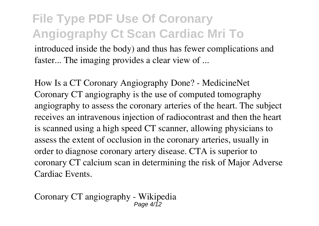introduced inside the body) and thus has fewer complications and faster... The imaging provides a clear view of ...

*How Is a CT Coronary Angiography Done? - MedicineNet* Coronary CT angiography is the use of computed tomography angiography to assess the coronary arteries of the heart. The subject receives an intravenous injection of radiocontrast and then the heart is scanned using a high speed CT scanner, allowing physicians to assess the extent of occlusion in the coronary arteries, usually in order to diagnose coronary artery disease. CTA is superior to coronary CT calcium scan in determining the risk of Major Adverse Cardiac Events.

*Coronary CT angiography - Wikipedia* Page 4/12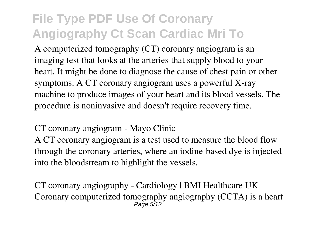A computerized tomography (CT) coronary angiogram is an imaging test that looks at the arteries that supply blood to your heart. It might be done to diagnose the cause of chest pain or other symptoms. A CT coronary angiogram uses a powerful X-ray machine to produce images of your heart and its blood vessels. The procedure is noninvasive and doesn't require recovery time.

#### *CT coronary angiogram - Mayo Clinic*

A CT coronary angiogram is a test used to measure the blood flow through the coronary arteries, where an iodine-based dye is injected into the bloodstream to highlight the vessels.

*CT coronary angiography - Cardiology | BMI Healthcare UK* Coronary computerized tomography angiography (CCTA) is a heart  $P$ age 5/12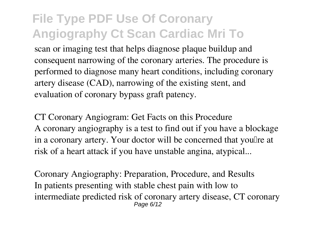scan or imaging test that helps diagnose plaque buildup and consequent narrowing of the coronary arteries. The procedure is performed to diagnose many heart conditions, including coronary artery disease (CAD), narrowing of the existing stent, and evaluation of coronary bypass graft patency.

*CT Coronary Angiogram: Get Facts on this Procedure* A coronary angiography is a test to find out if you have a blockage in a coronary artery. Your doctor will be concerned that you'll reat risk of a heart attack if you have unstable angina, atypical...

*Coronary Angiography: Preparation, Procedure, and Results* In patients presenting with stable chest pain with low to intermediate predicted risk of coronary artery disease, CT coronary Page 6/12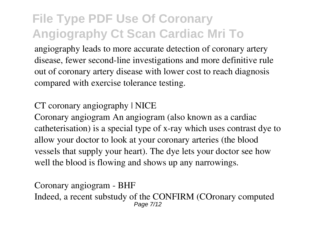angiography leads to more accurate detection of coronary artery disease, fewer second-line investigations and more definitive rule out of coronary artery disease with lower cost to reach diagnosis compared with exercise tolerance testing.

*CT coronary angiography | NICE*

Coronary angiogram An angiogram (also known as a cardiac catheterisation) is a special type of x-ray which uses contrast dye to allow your doctor to look at your coronary arteries (the blood vessels that supply your heart). The dye lets your doctor see how well the blood is flowing and shows up any narrowings.

*Coronary angiogram - BHF* Indeed, a recent substudy of the CONFIRM (COronary computed Page 7/12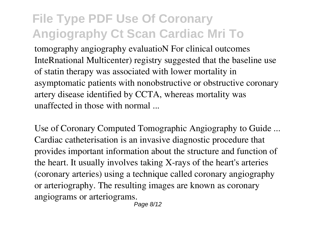tomography angiography evaluatioN For clinical outcomes InteRnational Multicenter) registry suggested that the baseline use of statin therapy was associated with lower mortality in asymptomatic patients with nonobstructive or obstructive coronary artery disease identified by CCTA, whereas mortality was unaffected in those with normal ...

*Use of Coronary Computed Tomographic Angiography to Guide ...* Cardiac catheterisation is an invasive diagnostic procedure that provides important information about the structure and function of the heart. It usually involves taking X-rays of the heart's arteries (coronary arteries) using a technique called coronary angiography or arteriography. The resulting images are known as coronary angiograms or arteriograms.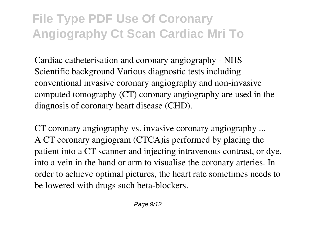*Cardiac catheterisation and coronary angiography - NHS* Scientific background Various diagnostic tests including conventional invasive coronary angiography and non-invasive computed tomography (CT) coronary angiography are used in the diagnosis of coronary heart disease (CHD).

*CT coronary angiography vs. invasive coronary angiography ...* A CT coronary angiogram (CTCA)is performed by placing the patient into a CT scanner and injecting intravenous contrast, or dye, into a vein in the hand or arm to visualise the coronary arteries. In order to achieve optimal pictures, the heart rate sometimes needs to be lowered with drugs such beta-blockers.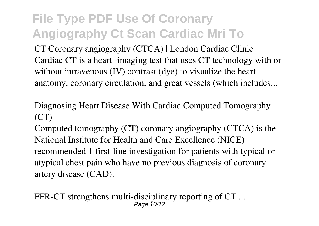*CT Coronary angiography (CTCA) | London Cardiac Clinic* Cardiac CT is a heart -imaging test that uses CT technology with or without intravenous *(IV)* contrast *(dye)* to visualize the heart anatomy, coronary circulation, and great vessels (which includes...

*Diagnosing Heart Disease With Cardiac Computed Tomography (CT)*

Computed tomography (CT) coronary angiography (CTCA) is the National Institute for Health and Care Excellence (NICE) recommended 1 first-line investigation for patients with typical or atypical chest pain who have no previous diagnosis of coronary artery disease (CAD).

*FFR-CT strengthens multi-disciplinary reporting of CT ...* Page 10/12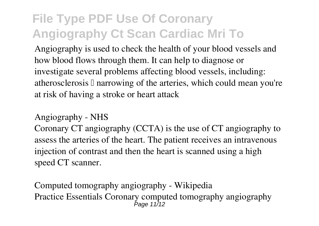Angiography is used to check the health of your blood vessels and how blood flows through them. It can help to diagnose or investigate several problems affecting blood vessels, including: atherosclerosis  $\mathbb I$  narrowing of the arteries, which could mean you're at risk of having a stroke or heart attack

#### *Angiography - NHS*

Coronary CT angiography (CCTA) is the use of CT angiography to assess the arteries of the heart. The patient receives an intravenous injection of contrast and then the heart is scanned using a high speed CT scanner.

*Computed tomography angiography - Wikipedia* Practice Essentials Coronary computed tomography angiography<br>Page 11/12